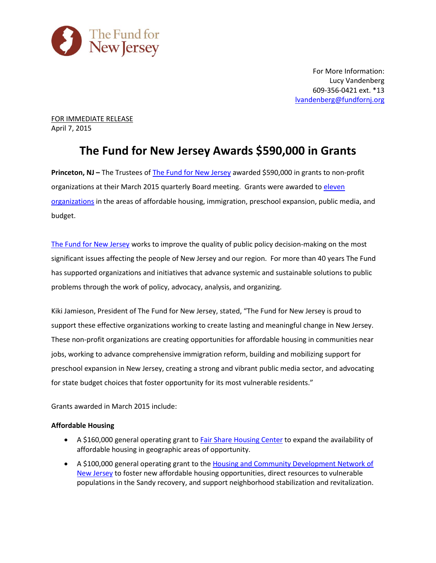

For More Information: Lucy Vandenberg 609-356-0421 ext. \*13 [lvandenberg@fundfornj.org](mailto:lvandenberg@fundfornj.org)

FOR IMMEDIATE RELEASE April 7, 2015

# **The Fund for New Jersey Awards \$590,000 in Grants**

**Princeton, NJ – The Trustees of [The Fund for New Jersey](http://www.fundfornj.org/) awarded \$590,000 in grants to non-profit** organizations at their March 2015 quarterly Board meeting. Grants were awarded t[o eleven](http://www.fundfornj.org/grants-awarded/2015) [organizations](http://www.fundfornj.org/grants-awarded/2015) in the areas of affordable housing, immigration, preschool expansion, public media, and budget.

[The Fund for New Jersey](http://www.fundfornj.org/) works to improve the quality of public policy decision-making on the most significant issues affecting the people of New Jersey and our region. For more than 40 years The Fund has supported organizations and initiatives that advance systemic and sustainable solutions to public problems through the work of policy, advocacy, analysis, and organizing.

Kiki Jamieson, President of The Fund for New Jersey, stated, "The Fund for New Jersey is proud to support these effective organizations working to create lasting and meaningful change in New Jersey. These non-profit organizations are creating opportunities for affordable housing in communities near jobs, working to advance comprehensive immigration reform, building and mobilizing support for preschool expansion in New Jersey, creating a strong and vibrant public media sector, and advocating for state budget choices that foster opportunity for its most vulnerable residents."

Grants awarded in March 2015 include:

# **Affordable Housing**

- A \$160,000 general operating grant to [Fair Share Housing Center](http://www.fairsharehousing.org/) to expand the availability of affordable housing in geographic areas of opportunity.
- A \$100,000 general operating grant to th[e Housing and Community Development Network of](http://www.hcdnnj.org/)  [New Jersey](http://www.hcdnnj.org/) to foster new affordable housing opportunities, direct resources to vulnerable populations in the Sandy recovery, and support neighborhood stabilization and revitalization.